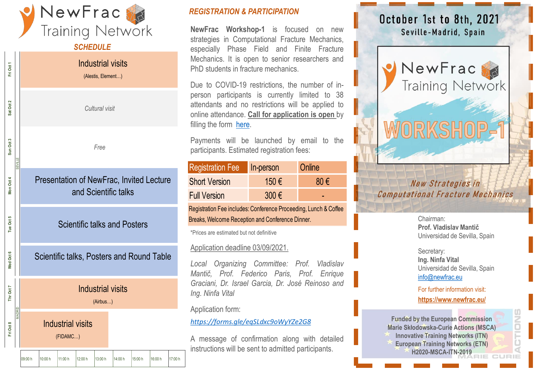

#### *SCHEDULE*

Industrial visits Fri Oct 1 **Fri Oct 8 Thr Oct 7 Wed Oct 6 Tue Oct 5 Mon Oct 4 Sun Oct 3 Sat Oct 2 Fri Oct 1** (Alestis, Element…) Sat Oct 2 Cultural visit<br>
Free<br> **Dresentation of NewFrac, Invited Lecture**<br> **and Scientific talks and Posters<br>
Scientific talks, Posters and Round Table<br>
Industrial visits<br>
(Alifbus...)**<br> **Industrial visits**<br> **CEDAMC...)**<br> **CEDAMC..** Sun Oct 3 SEVILLE<br>Seville Presentation of NewFrac, Invited Lecture Oct 4 Mon and Scientific talks Oct 5 Scientific talks and Posters e, Oct 6 Scientific talks, Posters and Round Table Ned Industrial visits Oct 7 Ĕ (Airbus…) MADRID Industrial visits Fri Oct 8 (FIDAMC…)

#### *REGISTRATION & PARTICIPATION*

**NewFrac Workshop-1** is focused on new strategies in Computational Fracture Mechanics, especially Phase Field and Finite Fracture Mechanics. It is open to senior researchers and PhD students in fracture mechanics.

Due to COVID-19 restrictions, the number of inperson participants is currently limited to 38 attendants and no restrictions will be applied to online attendance. **Call for application is open** by filling the form [here.](https://forms.gle/eqSLdxc9oWyYZe2G8)

Payments will be launched by email to the participants. Estimated registration fees:

| <b>Registration Fee</b> | In-person | Online |
|-------------------------|-----------|--------|
| <b>Short Version</b>    | 150 €     | 80 €   |
| <b>Full Version</b>     | $300 \in$ |        |

Registration Fee includes: Conference Proceeding, Lunch & Coffee Breaks, Welcome Reception and Conference Dinner.

\*Prices are estimated but not definitive

#### Application deadline 03/09/2021.

*Local Organizing Committee: Prof. Vladislav Mantič, Prof. Federico Paris, Prof. Enrique Graciani, Dr. Israel Garcia, Dr. José Reinoso and Ing. Ninfa Vital*

Application form:

*<https://forms.gle/eqSLdxc9oWyYZe2G8>*

A message of confirmation along with detailed instructions will be sent to admitted participants.

# October 1st to 8th, 2021 Seville-Madrid, Spain



## New Strategies in **Computational Fracture Mechanics**

Chairman: **Prof. Vladislav Mantič** Universidad de Sevilla, Spain

#### Secretary: **Ing. Ninfa Vital** Universidad de Sevilla, Spain [info@newfrac.eu](mailto:info@newfrac.eu)

For further information visit: **<https://www.newfrac.eu/>**

**SNOCIO** 

**Funded by the European Commission Marie Skłodowska-Curie Actions (MSCA) Innovative Training Networks (ITN) European Training Networks (ETN) H2020-MSCA-ITN-2019**